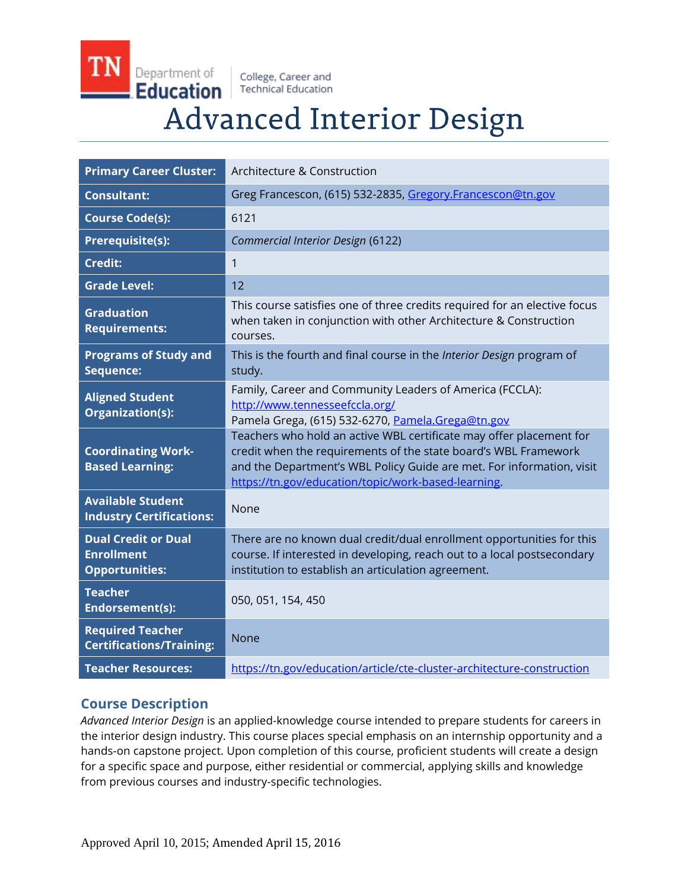College, Career and **Technical Education** 

Department of

**Education** 

# **Advanced Interior Design**

| <b>Primary Career Cluster:</b>                                           | Architecture & Construction                                                                                                                                                                                                                                            |
|--------------------------------------------------------------------------|------------------------------------------------------------------------------------------------------------------------------------------------------------------------------------------------------------------------------------------------------------------------|
| <b>Consultant:</b>                                                       | Greg Francescon, (615) 532-2835, Gregory.Francescon@tn.gov                                                                                                                                                                                                             |
| <b>Course Code(s):</b>                                                   | 6121                                                                                                                                                                                                                                                                   |
| Prerequisite(s):                                                         | Commercial Interior Design (6122)                                                                                                                                                                                                                                      |
| <b>Credit:</b>                                                           | 1                                                                                                                                                                                                                                                                      |
| <b>Grade Level:</b>                                                      | 12                                                                                                                                                                                                                                                                     |
| <b>Graduation</b><br><b>Requirements:</b>                                | This course satisfies one of three credits required for an elective focus<br>when taken in conjunction with other Architecture & Construction<br>courses.                                                                                                              |
| <b>Programs of Study and</b><br>Sequence:                                | This is the fourth and final course in the Interior Design program of<br>study.                                                                                                                                                                                        |
| <b>Aligned Student</b><br>Organization(s):                               | Family, Career and Community Leaders of America (FCCLA):<br>http://www.tennesseefccla.org/<br>Pamela Grega, (615) 532-6270, Pamela.Grega@tn.gov                                                                                                                        |
| <b>Coordinating Work-</b><br><b>Based Learning:</b>                      | Teachers who hold an active WBL certificate may offer placement for<br>credit when the requirements of the state board's WBL Framework<br>and the Department's WBL Policy Guide are met. For information, visit<br>https://tn.gov/education/topic/work-based-learning. |
| <b>Available Student</b><br><b>Industry Certifications:</b>              | None                                                                                                                                                                                                                                                                   |
| <b>Dual Credit or Dual</b><br><b>Enrollment</b><br><b>Opportunities:</b> | There are no known dual credit/dual enrollment opportunities for this<br>course. If interested in developing, reach out to a local postsecondary<br>institution to establish an articulation agreement.                                                                |
| <b>Teacher</b><br><b>Endorsement(s):</b>                                 | 050, 051, 154, 450                                                                                                                                                                                                                                                     |
| <b>Required Teacher</b><br><b>Certifications/Training:</b>               | <b>None</b>                                                                                                                                                                                                                                                            |
| <b>Teacher Resources:</b>                                                | https://tn.gov/education/article/cte-cluster-architecture-construction                                                                                                                                                                                                 |

# **Course Description**

*Advanced Interior Design* is an applied-knowledge course intended to prepare students for careers in the interior design industry. This course places special emphasis on an internship opportunity and a hands-on capstone project. Upon completion of this course, proficient students will create a design for a specific space and purpose, either residential or commercial, applying skills and knowledge from previous courses and industry-specific technologies.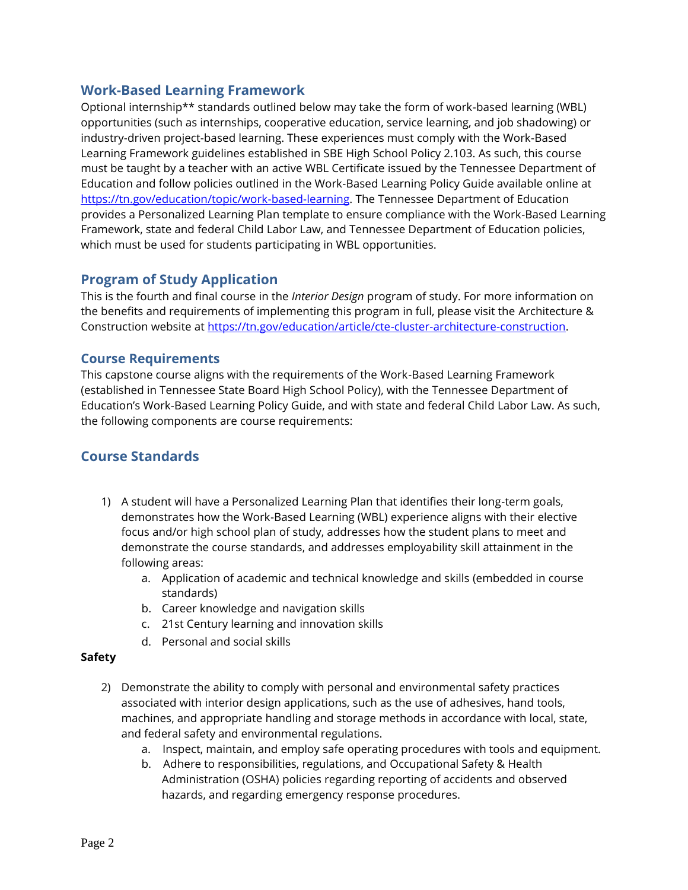# **Work-Based Learning Framework**

Optional internship\*\* standards outlined below may take the form of work-based learning (WBL) opportunities (such as internships, cooperative education, service learning, and job shadowing) or industry-driven project-based learning. These experiences must comply with the Work-Based Learning Framework guidelines established in SBE High School Policy 2.103. As such, this course must be taught by a teacher with an active WBL Certificate issued by the Tennessee Department of Education and follow policies outlined in the Work-Based Learning Policy Guide available online at [https://tn.gov/education/topic/work-based-learning.](https://tn.gov/education/topic/work-based-learning) The Tennessee Department of Education provides a Personalized Learning Plan template to ensure compliance with the Work-Based Learning Framework, state and federal Child Labor Law, and Tennessee Department of Education policies, which must be used for students participating in WBL opportunities.

## **Program of Study Application**

This is the fourth and final course in the *Interior Design* program of study. For more information on the benefits and requirements of implementing this program in full, please visit the Architecture & Construction website at [https://tn.gov/education/article/cte-cluster-architecture-construction.](https://tn.gov/education/article/cte-cluster-architecture-construction)

## **Course Requirements**

This capstone course aligns with the requirements of the Work-Based Learning Framework (established in Tennessee State Board High School Policy), with the Tennessee Department of Education's Work-Based Learning Policy Guide, and with state and federal Child Labor Law. As such, the following components are course requirements:

# **Course Standards**

- 1) A student will have a Personalized Learning Plan that identifies their long-term goals, demonstrates how the Work-Based Learning (WBL) experience aligns with their elective focus and/or high school plan of study, addresses how the student plans to meet and demonstrate the course standards, and addresses employability skill attainment in the following areas:
	- a. Application of academic and technical knowledge and skills (embedded in course standards)
	- b. Career knowledge and navigation skills
	- c. 21st Century learning and innovation skills
	- d. Personal and social skills

#### **Safety**

- 2) Demonstrate the ability to comply with personal and environmental safety practices associated with interior design applications, such as the use of adhesives, hand tools, machines, and appropriate handling and storage methods in accordance with local, state, and federal safety and environmental regulations.
	- a. Inspect, maintain, and employ safe operating procedures with tools and equipment.
	- b. Adhere to responsibilities, regulations, and Occupational Safety & Health Administration (OSHA) policies regarding reporting of accidents and observed hazards, and regarding emergency response procedures.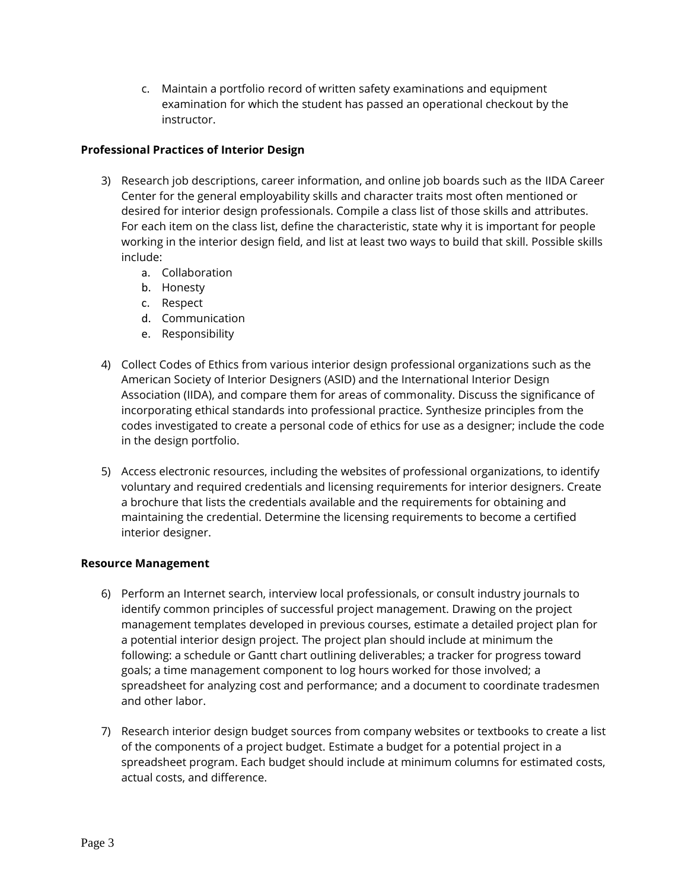c. Maintain a portfolio record of written safety examinations and equipment examination for which the student has passed an operational checkout by the instructor.

#### **Professional Practices of Interior Design**

- 3) Research job descriptions, career information, and online job boards such as the IIDA Career Center for the general employability skills and character traits most often mentioned or desired for interior design professionals. Compile a class list of those skills and attributes. For each item on the class list, define the characteristic, state why it is important for people working in the interior design field, and list at least two ways to build that skill. Possible skills include:
	- a. Collaboration
	- b. Honesty
	- c. Respect
	- d. Communication
	- e. Responsibility
- 4) Collect Codes of Ethics from various interior design professional organizations such as the American Society of Interior Designers (ASID) and the International Interior Design Association (IIDA), and compare them for areas of commonality. Discuss the significance of incorporating ethical standards into professional practice. Synthesize principles from the codes investigated to create a personal code of ethics for use as a designer; include the code in the design portfolio.
- 5) Access electronic resources, including the websites of professional organizations, to identify voluntary and required credentials and licensing requirements for interior designers. Create a brochure that lists the credentials available and the requirements for obtaining and maintaining the credential. Determine the licensing requirements to become a certified interior designer.

#### **Resource Management**

- 6) Perform an Internet search, interview local professionals, or consult industry journals to identify common principles of successful project management. Drawing on the project management templates developed in previous courses, estimate a detailed project plan for a potential interior design project. The project plan should include at minimum the following: a schedule or Gantt chart outlining deliverables; a tracker for progress toward goals; a time management component to log hours worked for those involved; a spreadsheet for analyzing cost and performance; and a document to coordinate tradesmen and other labor.
- 7) Research interior design budget sources from company websites or textbooks to create a list of the components of a project budget. Estimate a budget for a potential project in a spreadsheet program. Each budget should include at minimum columns for estimated costs, actual costs, and difference.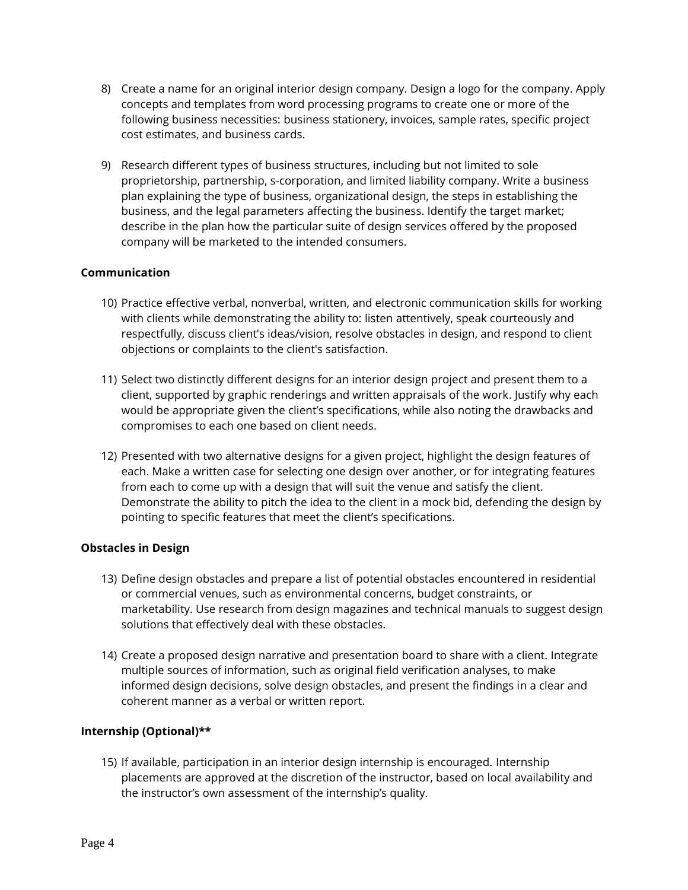- 8) Create a name for an original interior design company. Design a logo for the company. Apply concepts and templates from word processing programs to create one or more of the following business necessities: business stationery, invoices, sample rates, specific project cost estimates, and business cards.
- 9) Research different types of business structures, including but not limited to sole proprietorship, partnership, s-corporation, and limited liability company. Write a business plan explaining the type of business, organizational design, the steps in establishing the business, and the legal parameters affecting the business. Identify the target market; describe in the plan how the particular suite of design services offered by the proposed company will be marketed to the intended consumers.

## **Communication**

- 10) Practice effective verbal, nonverbal, written, and electronic communication skills for working with clients while demonstrating the ability to: listen attentively, speak courteously and respectfully, discuss client's ideas/vision, resolve obstacles in design, and respond to client objections or complaints to the client's satisfaction.
- 11) Select two distinctly different designs for an interior design project and present them to a client, supported by graphic renderings and written appraisals of the work. Justify why each would be appropriate given the client's specifications, while also noting the drawbacks and compromises to each one based on client needs.
- 12) Presented with two alternative designs for a given project, highlight the design features of each. Make a written case for selecting one design over another, or for integrating features from each to come up with a design that will suit the venue and satisfy the client. Demonstrate the ability to pitch the idea to the client in a mock bid, defending the design by pointing to specific features that meet the client's specifications.

## **Obstacles in Design**

- 13) Define design obstacles and prepare a list of potential obstacles encountered in residential or commercial venues, such as environmental concerns, budget constraints, or marketability. Use research from design magazines and technical manuals to suggest design solutions that effectively deal with these obstacles.
- 14) Create a proposed design narrative and presentation board to share with a client. Integrate multiple sources of information, such as original field verification analyses, to make informed design decisions, solve design obstacles, and present the findings in a clear and coherent manner as a verbal or written report.

## **Internship (Optional)\*\***

15) If available, participation in an interior design internship is encouraged. Internship placements are approved at the discretion of the instructor, based on local availability and the instructor's own assessment of the internship's quality.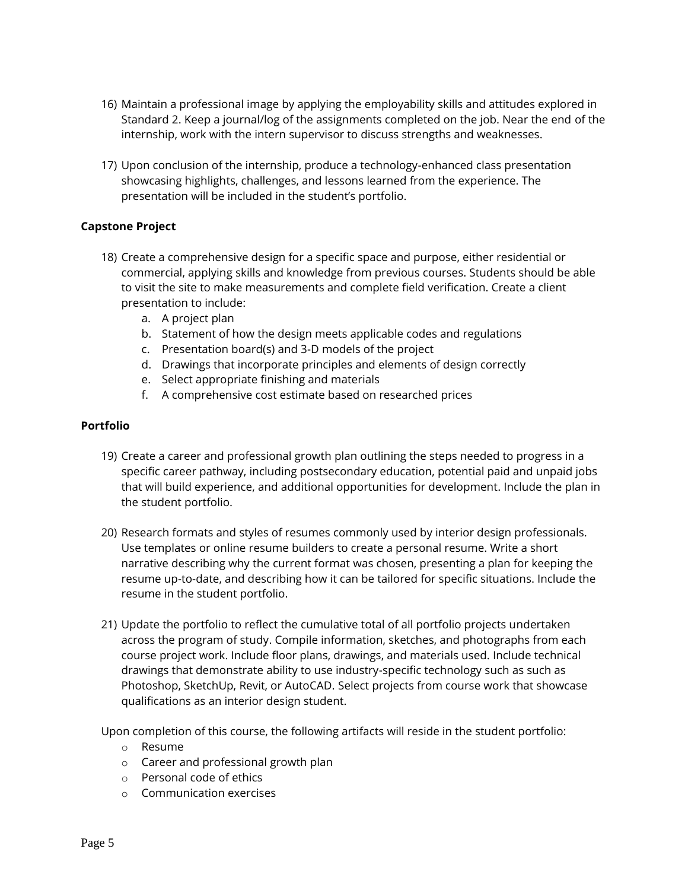- 16) Maintain a professional image by applying the employability skills and attitudes explored in Standard 2. Keep a journal/log of the assignments completed on the job. Near the end of the internship, work with the intern supervisor to discuss strengths and weaknesses.
- 17) Upon conclusion of the internship, produce a technology-enhanced class presentation showcasing highlights, challenges, and lessons learned from the experience. The presentation will be included in the student's portfolio.

#### **Capstone Project**

- 18) Create a comprehensive design for a specific space and purpose, either residential or commercial, applying skills and knowledge from previous courses. Students should be able to visit the site to make measurements and complete field verification. Create a client presentation to include:
	- a. A project plan
	- b. Statement of how the design meets applicable codes and regulations
	- c. Presentation board(s) and 3-D models of the project
	- d. Drawings that incorporate principles and elements of design correctly
	- e. Select appropriate finishing and materials
	- f. A comprehensive cost estimate based on researched prices

#### **Portfolio**

- 19) Create a career and professional growth plan outlining the steps needed to progress in a specific career pathway, including postsecondary education, potential paid and unpaid jobs that will build experience, and additional opportunities for development. Include the plan in the student portfolio.
- 20) Research formats and styles of resumes commonly used by interior design professionals. Use templates or online resume builders to create a personal resume. Write a short narrative describing why the current format was chosen, presenting a plan for keeping the resume up-to-date, and describing how it can be tailored for specific situations. Include the resume in the student portfolio.
- 21) Update the portfolio to reflect the cumulative total of all portfolio projects undertaken across the program of study. Compile information, sketches, and photographs from each course project work. Include floor plans, drawings, and materials used. Include technical drawings that demonstrate ability to use industry-specific technology such as such as Photoshop, SketchUp, Revit, or AutoCAD. Select projects from course work that showcase qualifications as an interior design student.

Upon completion of this course, the following artifacts will reside in the student portfolio:

- o Resume
- o Career and professional growth plan
- o Personal code of ethics
- o Communication exercises